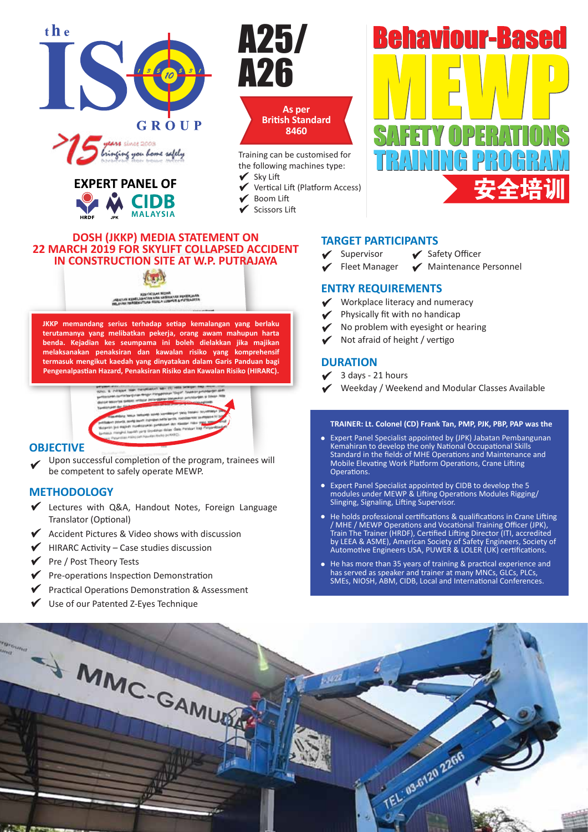





Training can be customised for the following machines type:

- Sky Lift
- Vertical Lift (Platform Access)
- Boom Lift
- $\checkmark$  Scissors Lift

# **DOSH (JKKP) MEDIA STATEMENT ON 22 MARCH 2019 FOR SKYLIFT COLLAPSED ACCIDENT IN CONSTRUCTION SITE AT W.P. PUTRAJAYA**

**JKKP memandang serius terhadap setiap kemalangan yang berlaku terutamanya yang melibatkan pekerja, orang awam mahupun harta benda. Kejadian kes seumpama ini boleh dielakkan jika majikan melaksanakan penaksiran dan kawalan risiko yang komprehensif termasuk mengikut kaedah yang dinyatakan dalam Garis Panduan bagi Pengenalpastian Hazard, Penaksiran Risiko dan Kawalan Risiko (HIRARC).**



# **OBJECTIVE**

Upon successful completion of the program, trainees will be competent to safely operate MEWP.

# **METHODOLOGY**

- Ectures with Q&A, Handout Notes, Foreign Language Translator (Optional)
- Accident Pictures & Video shows with discussion
- $\blacktriangleright$  HIRARC Activity Case studies discussion
- $\sqrt{\phantom{a}}$  Pre / Post Theory Tests
- $\blacktriangleright$  Pre-operations Inspection Demonstration
- $\blacktriangledown$  Practical Operations Demonstration & Assessment
- Use of our Patented Z-Eyes Technique

# **TARGET PARTICIPANTS**

- ◆ Supervisor → Safety Officer
	-
- $\checkmark$  Fleet Manager  $\checkmark$  Maintenance Personnel

**Behaviour-Based** 

### **ENTRY REQUIREMENTS**

- Workplace literacy and numeracy
- Physically fit with no handicap
- No problem with eyesight or hearing
- Not afraid of height / vertigo

# **DURATION**

- 3 days 21 hours
- Weekday / Weekend and Modular Classes Available

#### **TRAINER: Lt. Colonel (CD) Frank Tan, PMP, PJK, PBP, PAP was the**

- Expert Panel Specialist appointed by (JPK) Jabatan Pembangunan Kemahiran to develop the only National Occupational Skills Standard in the fields of MHE Operations and Maintenance and Mobile Elevating Work Platform Operations, Crane Lifting Operations.
- Expert Panel Specialist appointed by CIDB to develop the 5 modules under MEWP & Lifting Operations Modules Rigging/ Slinging, Signaling, Lifting Supervisor.
- He holds professional certifications & qualifications in Crane Lifting / MHE / MEWP Operations and Vocational Training Officer (JPK), Train The Trainer (HRDF), Certified Lifting Director (ITI, accredited by LEEA & ASME), American Society of Safety Engineers, Society of Automotive Engineers USA, PUWER & LOLER (UK) certifications.
- He has more than 35 years of training & practical experience and has served as speaker and trainer at many MNCs, GLCs, PLCs, SMEs, NIOSH, ABM, CIDB, Local and International Conferences.